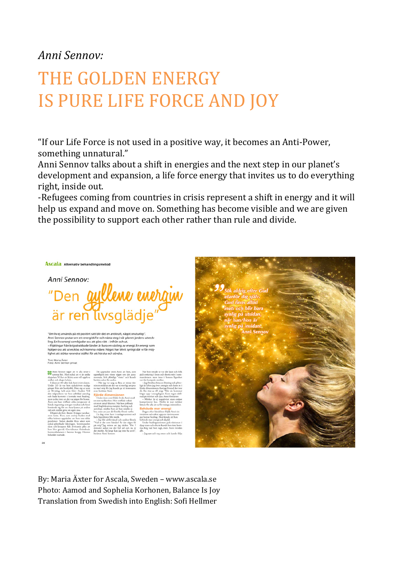# *Anni Sennov:*

# THE GOLDEN ENERGY IS PURE LIFE FORCE AND JOY

"If our Life Force is not used in a positive way, it becomes an Anti-Power, something unnatural."

Anni Sennov talks about a shift in energies and the next step in our planet's development and expansion, a life force energy that invites us to do everything right, inside out.

-Refugees coming from countries in crisis represent a shift in energy and it will help us expand and move on. Something has become visible and we are given the possibility to support each other rather than rule and divide.

# ASCala Alternativ behandlingsmetod

Anni Sennov: Den gyllene entrain

"Om liv ej används på ett positivt sätt blir det en antikraft, något onaturligt San i Sennov pratar om ett energiskifte och nästa steg i vår planet jordens utveck-<br>Ing. En livsenergi som bjuder oss att göra rätt – inifrån och ut.<br>– Flyktingar från krigsdrabbade länder är bara en växling av energi. En hjälper oss att utvecklas och komma vidare. Något har blivit synligt där vi får möj<br>lighet att stötta varandra istället för att härska och söndra.

Text: Maria Äxter<br>Foto: Anni Sennov orivat



By: Maria Äxter for Ascala, Sweden – www.ascala.se Photo: Aamod and Sophelia Korhonen, Balance Is Joy Translation from Swedish into English: Sofi Hellmer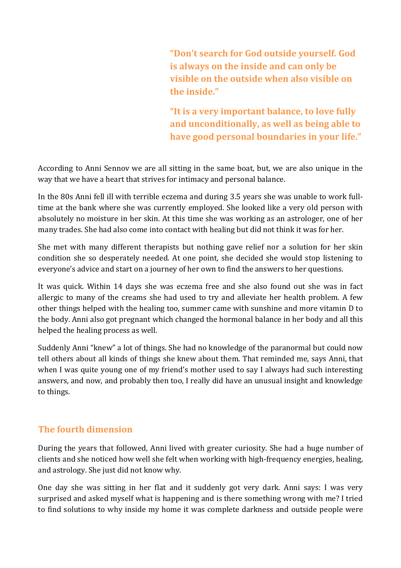**"Don't search for God outside yourself. God is always on the inside and can only be visible on the outside when also visible on the inside."** 

**"It is a very important balance, to love fully and unconditionally, as well as being able to have good personal boundaries in your life."** 

According to Anni Sennov we are all sitting in the same boat, but, we are also unique in the way that we have a heart that strives for intimacy and personal balance.

In the 80s Anni fell ill with terrible eczema and during 3.5 years she was unable to work fulltime at the bank where she was currently employed. She looked like a very old person with absolutely no moisture in her skin. At this time she was working as an astrologer, one of her many trades. She had also come into contact with healing but did not think it was for her.

She met with many different therapists but nothing gave relief nor a solution for her skin condition she so desperately needed. At one point, she decided she would stop listening to everyone's advice and start on a journey of her own to find the answers to her questions.

It was quick. Within 14 days she was eczema free and she also found out she was in fact allergic to many of the creams she had used to try and alleviate her health problem. A few other things helped with the healing too, summer came with sunshine and more vitamin D to the body. Anni also got pregnant which changed the hormonal balance in her body and all this helped the healing process as well.

Suddenly Anni "knew" a lot of things. She had no knowledge of the paranormal but could now tell others about all kinds of things she knew about them. That reminded me, says Anni, that when I was quite young one of my friend's mother used to say I always had such interesting answers, and now, and probably then too, I really did have an unusual insight and knowledge to things.

## **The fourth dimension**

During the years that followed, Anni lived with greater curiosity. She had a huge number of clients and she noticed how well she felt when working with high-frequency energies, healing, and astrology. She just did not know why.

One day she was sitting in her flat and it suddenly got very dark. Anni says: I was very surprised and asked myself what is happening and is there something wrong with me? I tried to find solutions to why inside my home it was complete darkness and outside people were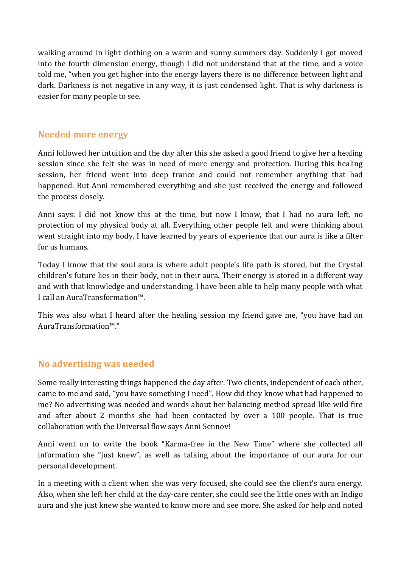walking around in light clothing on a warm and sunny summers day. Suddenly I got moved into the fourth dimension energy, though I did not understand that at the time, and a voice told me, "when you get higher into the energy layers there is no difference between light and dark. Darkness is not negative in any way, it is just condensed light. That is why darkness is easier for many people to see.

#### **Needed more energy**

Anni followed her intuition and the day after this she asked a good friend to give her a healing session since she felt she was in need of more energy and protection. During this healing session, her friend went into deep trance and could not remember anything that had happened. But Anni remembered everything and she just received the energy and followed the process closely.

Anni says: I did not know this at the time, but now I know, that I had no aura left, no protection of my physical body at all. Everything other people felt and were thinking about went straight into my body. I have learned by years of experience that our aura is like a filter for us humans.

Today I know that the soul aura is where adult people's life path is stored, but the Crystal children's future lies in their body, not in their aura. Their energy is stored in a different way and with that knowledge and understanding, I have been able to help many people with what I call an AuraTransformation™.

This was also what I heard after the healing session my friend gave me, "you have had an AuraTransformation™."

## **No advertising was needed**

Some really interesting things happened the day after. Two clients, independent of each other, came to me and said, "you have something I need". How did they know what had happened to me? No advertising was needed and words about her balancing method spread like wild fire and after about 2 months she had been contacted by over a 100 people. That is true collaboration with the Universal flow says Anni Sennov!

Anni went on to write the book "Karma-free in the New Time" where she collected all information she "just knew", as well as talking about the importance of our aura for our personal development.

In a meeting with a client when she was very focused, she could see the client's aura energy. Also, when she left her child at the day-care center, she could see the little ones with an Indigo aura and she just knew she wanted to know more and see more. She asked for help and noted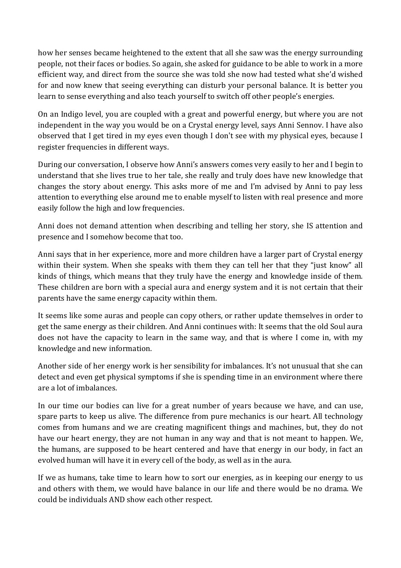how her senses became heightened to the extent that all she saw was the energy surrounding people, not their faces or bodies. So again, she asked for guidance to be able to work in a more efficient way, and direct from the source she was told she now had tested what she'd wished for and now knew that seeing everything can disturb your personal balance. It is better you learn to sense everything and also teach yourself to switch off other people's energies.

On an Indigo level, you are coupled with a great and powerful energy, but where you are not independent in the way you would be on a Crystal energy level, says Anni Sennov. I have also observed that I get tired in my eyes even though I don't see with my physical eyes, because I register frequencies in different ways.

During our conversation, I observe how Anni's answers comes very easily to her and I begin to understand that she lives true to her tale, she really and truly does have new knowledge that changes the story about energy. This asks more of me and I'm advised by Anni to pay less attention to everything else around me to enable myself to listen with real presence and more easily follow the high and low frequencies.

Anni does not demand attention when describing and telling her story, she IS attention and presence and I somehow become that too.

Anni says that in her experience, more and more children have a larger part of Crystal energy within their system. When she speaks with them they can tell her that they "just know" all kinds of things, which means that they truly have the energy and knowledge inside of them. These children are born with a special aura and energy system and it is not certain that their parents have the same energy capacity within them.

It seems like some auras and people can copy others, or rather update themselves in order to get the same energy as their children. And Anni continues with: It seems that the old Soul aura does not have the capacity to learn in the same way, and that is where I come in, with my knowledge and new information.

Another side of her energy work is her sensibility for imbalances. It's not unusual that she can detect and even get physical symptoms if she is spending time in an environment where there are a lot of imbalances.

In our time our bodies can live for a great number of years because we have, and can use, spare parts to keep us alive. The difference from pure mechanics is our heart. All technology comes from humans and we are creating magnificent things and machines, but, they do not have our heart energy, they are not human in any way and that is not meant to happen. We, the humans, are supposed to be heart centered and have that energy in our body, in fact an evolved human will have it in every cell of the body, as well as in the aura.

If we as humans, take time to learn how to sort our energies, as in keeping our energy to us and others with them, we would have balance in our life and there would be no drama. We could be individuals AND show each other respect.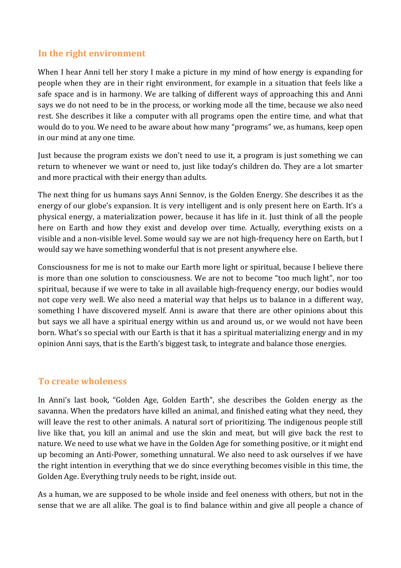#### **In the right environment**

When I hear Anni tell her story I make a picture in my mind of how energy is expanding for people when they are in their right environment, for example in a situation that feels like a safe space and is in harmony. We are talking of different ways of approaching this and Anni says we do not need to be in the process, or working mode all the time, because we also need rest. She describes it like a computer with all programs open the entire time, and what that would do to you. We need to be aware about how many "programs" we, as humans, keep open in our mind at any one time.

Just because the program exists we don't need to use it, a program is just something we can return to whenever we want or need to, just like today's children do. They are a lot smarter and more practical with their energy than adults.

The next thing for us humans says Anni Sennov, is the Golden Energy. She describes it as the energy of our globe's expansion. It is very intelligent and is only present here on Earth. It's a physical energy, a materialization power, because it has life in it. Just think of all the people here on Earth and how they exist and develop over time. Actually, everything exists on a visible and a non-visible level. Some would say we are not high-frequency here on Earth, but I would say we have something wonderful that is not present anywhere else.

Consciousness for me is not to make our Earth more light or spiritual, because I believe there is more than one solution to consciousness. We are not to become "too much light", nor too spiritual, because if we were to take in all available high-frequency energy, our bodies would not cope very well. We also need a material way that helps us to balance in a different way, something I have discovered myself. Anni is aware that there are other opinions about this but says we all have a spiritual energy within us and around us, or we would not have been born. What's so special with our Earth is that it has a spiritual materializing energy and in my opinion Anni says, that is the Earth's biggest task, to integrate and balance those energies.

#### **To create wholeness**

In Anni's last book, "Golden Age, Golden Earth", she describes the Golden energy as the savanna. When the predators have killed an animal, and finished eating what they need, they will leave the rest to other animals. A natural sort of prioritizing. The indigenous people still live like that, you kill an animal and use the skin and meat, but will give back the rest to nature. We need to use what we have in the Golden Age for something positive, or it might end up becoming an Anti-Power, something unnatural. We also need to ask ourselves if we have the right intention in everything that we do since everything becomes visible in this time, the Golden Age. Everything truly needs to be right, inside out.

As a human, we are supposed to be whole inside and feel oneness with others, but not in the sense that we are all alike. The goal is to find balance within and give all people a chance of